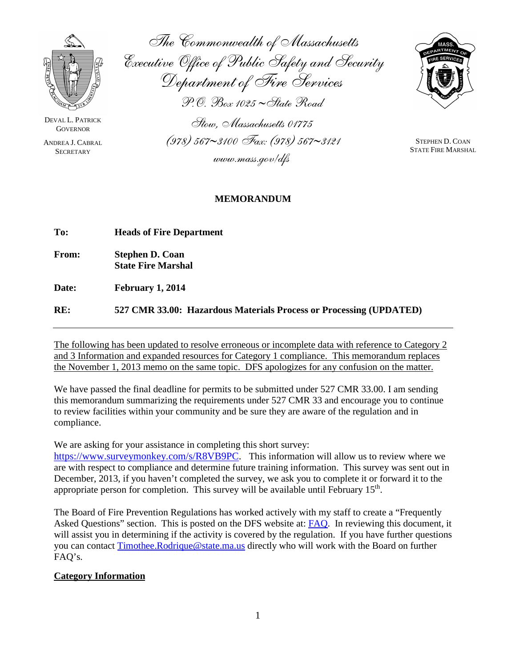

DEVAL L. PATRICK **GOVERNOR** 

ANDREA J. CABRAL **SECRETARY** 

The Commonwealth of Massachusetts Executive Office of Public Safety and Security Department of Fire Services P.O. Box 1025 ∼State Road Stow, Massachusetts 01775



STEPHEN D. COAN STATE FIRE MARSHAL

#### **MEMORANDUM**

(978) 567∼3100 Fax: (978) 567∼3121

www.mass.gov/dfs

| To:          | <b>Heads of Fire Department</b>                                    |  |
|--------------|--------------------------------------------------------------------|--|
| <b>From:</b> | <b>Stephen D. Coan</b><br><b>State Fire Marshal</b>                |  |
| Date:        | February 1, 2014                                                   |  |
| RE:          | 527 CMR 33.00: Hazardous Materials Process or Processing (UPDATED) |  |

The following has been updated to resolve erroneous or incomplete data with reference to Category 2 and 3 Information and expanded resources for Category 1 compliance. This memorandum replaces the November 1, 2013 memo on the same topic. DFS apologizes for any confusion on the matter.

We have passed the final deadline for permits to be submitted under 527 CMR 33.00. I am sending this memorandum summarizing the requirements under 527 CMR 33 and encourage you to continue to review facilities within your community and be sure they are aware of the regulation and in compliance.

We are asking for your assistance in completing this short survey:

[https://www.surveymonkey.com/s/R8VB9PC.](https://www.surveymonkey.com/s/R8VB9PC) This information will allow us to review where we are with respect to compliance and determine future training information. This survey was sent out in December, 2013, if you haven't completed the survey, we ask you to complete it or forward it to the appropriate person for completion. This survey will be available until February 15<sup>th</sup>.

The Board of Fire Prevention Regulations has worked actively with my staff to create a "Frequently Asked Questions" section. This is posted on the DFS website at: **FAQ**. In reviewing this document, it will assist you in determining if the activity is covered by the regulation. If you have further questions you can contact [Timothee.Rodrique@state.ma.us](mailto:Timothee.Rodrique@state.ma.us) directly who will work with the Board on further FAQ's.

## **Category Information**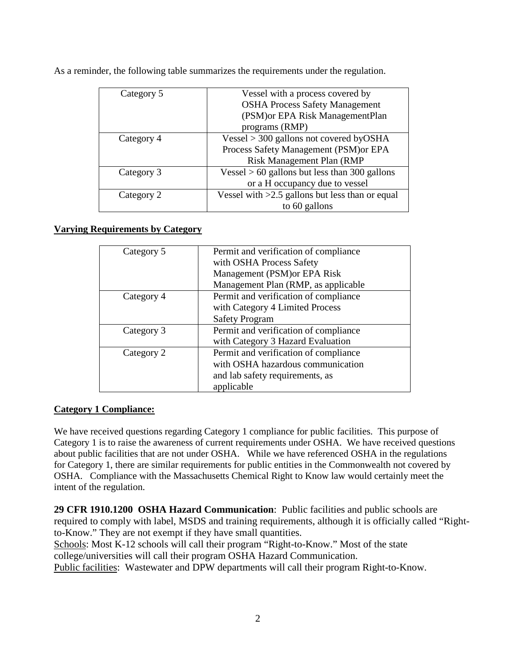| Category 5 | Vessel with a process covered by                |
|------------|-------------------------------------------------|
|            | <b>OSHA Process Safety Management</b>           |
|            | (PSM) or EPA Risk ManagementPlan                |
|            | programs (RMP)                                  |
| Category 4 | Vessel $>$ 300 gallons not covered by OSHA      |
|            | Process Safety Management (PSM) or EPA          |
|            | Risk Management Plan (RMP                       |
| Category 3 | Vessel $> 60$ gallons but less than 300 gallons |
|            | or a H occupancy due to vessel                  |
| Category 2 | Vessel with >2.5 gallons but less than or equal |
|            | to 60 gallons                                   |

As a reminder, the following table summarizes the requirements under the regulation.

#### **Varying Requirements by Category**

| Category 5 | Permit and verification of compliance |
|------------|---------------------------------------|
|            | with OSHA Process Safety              |
|            | Management (PSM) or EPA Risk          |
|            | Management Plan (RMP, as applicable   |
| Category 4 | Permit and verification of compliance |
|            | with Category 4 Limited Process       |
|            | <b>Safety Program</b>                 |
| Category 3 | Permit and verification of compliance |
|            | with Category 3 Hazard Evaluation     |
| Category 2 | Permit and verification of compliance |
|            | with OSHA hazardous communication     |
|            | and lab safety requirements, as       |
|            | applicable                            |

## **Category 1 Compliance:**

We have received questions regarding Category 1 compliance for public facilities. This purpose of Category 1 is to raise the awareness of current requirements under OSHA. We have received questions about public facilities that are not under OSHA. While we have referenced OSHA in the regulations for Category 1, there are similar requirements for public entities in the Commonwealth not covered by OSHA. Compliance with the Massachusetts Chemical Right to Know law would certainly meet the intent of the regulation.

**29 CFR 1910.1200 OSHA Hazard Communication**: Public facilities and public schools are required to comply with label, MSDS and training requirements, although it is officially called "Rightto-Know." They are not exempt if they have small quantities.

Schools: Most K-12 schools will call their program "Right-to-Know." Most of the state college/universities will call their program OSHA Hazard Communication.

Public facilities: Wastewater and DPW departments will call their program Right-to-Know.